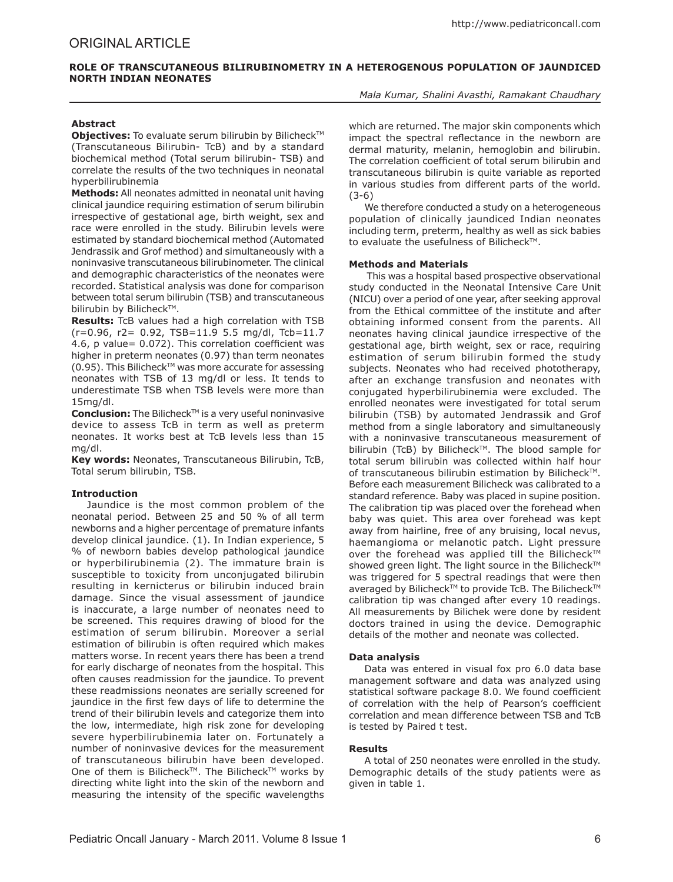# ORIGINAL ARTICLE

# **ROLE OF TRANSCUTANEOUS BILIRUBINOMETRY IN A HETEROGENOUS POPULATION OF JAUNDICED NORTH INDIAN NEONATES**

*Mala Kumar, Shalini Avasthi, Ramakant Chaudhary* 

# **Abstract**

**Objectives:** To evaluate serum bilirubin by Bilicheck™ (Transcutaneous Bilirubin- TcB) and by a standard biochemical method (Total serum bilirubin- TSB) and correlate the results of the two techniques in neonatal hyperbilirubinemia

**Methods:** All neonates admitted in neonatal unit having clinical jaundice requiring estimation of serum bilirubin irrespective of gestational age, birth weight, sex and race were enrolled in the study. Bilirubin levels were estimated by standard biochemical method (Automated Jendrassik and Grof method) and simultaneously with a noninvasive transcutaneous bilirubinometer. The clinical and demographic characteristics of the neonates were recorded. Statistical analysis was done for comparison between total serum bilirubin (TSB) and transcutaneous bilirubin by Bilicheck™.

**Results:** TcB values had a high correlation with TSB  $(r=0.96, r2= 0.92, TSB=11.9, 5.5, ma/dl, Tcb=11.7)$ 4.6, p value= 0.072). This correlation coefficient was higher in preterm neonates (0.97) than term neonates  $(0.95)$ . This Bilicheck<sup>TM</sup> was more accurate for assessing neonates with TSB of 13 mg/dl or less. It tends to underestimate TSB when TSB levels were more than 15mg/dl.

**Conclusion:** The Bilicheck™ is a very useful noninvasive device to assess TcB in term as well as preterm neonates. It works best at TcB levels less than 15 mg/dl.

**Key words:** Neonates, Transcutaneous Bilirubin, TcB, Total serum bilirubin, TSB.

# **Introduction**

Jaundice is the most common problem of the neonatal period. Between 25 and 50 % of all term newborns and a higher percentage of premature infants develop clinical jaundice. (1). In Indian experience, 5 % of newborn babies develop pathological jaundice or hyperbilirubinemia (2). The immature brain is susceptible to toxicity from unconjugated bilirubin resulting in kernicterus or bilirubin induced brain damage. Since the visual assessment of jaundice is inaccurate, a large number of neonates need to be screened. This requires drawing of blood for the estimation of serum bilirubin. Moreover a serial estimation of bilirubin is often required which makes matters worse. In recent years there has been a trend for early discharge of neonates from the hospital. This often causes readmission for the jaundice. To prevent these readmissions neonates are serially screened for jaundice in the first few days of life to determine the trend of their bilirubin levels and categorize them into the low, intermediate, high risk zone for developing severe hyperbilirubinemia later on. Fortunately a number of noninvasive devices for the measurement of transcutaneous bilirubin have been developed. One of them is Bilicheck™. The Bilicheck™ works by directing white light into the skin of the newborn and measuring the intensity of the specific wavelengths which are returned. The major skin components which impact the spectral reflectance in the newborn are dermal maturity, melanin, hemoglobin and bilirubin. The correlation coefficient of total serum bilirubin and transcutaneous bilirubin is quite variable as reported in various studies from different parts of the world. (3-6)

We therefore conducted a study on a heterogeneous population of clinically jaundiced Indian neonates including term, preterm, healthy as well as sick babies to evaluate the usefulness of Bilicheck™.

# **Methods and Materials**

 This was a hospital based prospective observational study conducted in the Neonatal Intensive Care Unit (NICU) over a period of one year, after seeking approval from the Ethical committee of the institute and after obtaining informed consent from the parents. All neonates having clinical jaundice irrespective of the gestational age, birth weight, sex or race, requiring estimation of serum bilirubin formed the study subjects. Neonates who had received phototherapy, after an exchange transfusion and neonates with conjugated hyperbilirubinemia were excluded. The enrolled neonates were investigated for total serum bilirubin (TSB) by automated Jendrassik and Grof method from a single laboratory and simultaneously with a noninvasive transcutaneous measurement of bilirubin (TcB) by Bilicheck™. The blood sample for total serum bilirubin was collected within half hour of transcutaneous bilirubin estimation by Bilicheck™. Before each measurement Bilicheck was calibrated to a standard reference. Baby was placed in supine position. The calibration tip was placed over the forehead when baby was quiet. This area over forehead was kept away from hairline, free of any bruising, local nevus, haemangioma or melanotic patch. Light pressure over the forehead was applied till the Bilicheck™ showed green light. The light source in the Bilicheck™ was triggered for 5 spectral readings that were then averaged by Bilicheck™ to provide TcB. The Bilicheck™ calibration tip was changed after every 10 readings. All measurements by Bilichek were done by resident doctors trained in using the device. Demographic details of the mother and neonate was collected.

# **Data analysis**

Data was entered in visual fox pro 6.0 data base management software and data was analyzed using statistical software package 8.0. We found coefficient of correlation with the help of Pearson's coefficient correlation and mean difference between TSB and TcB is tested by Paired t test.

#### **Results**

A total of 250 neonates were enrolled in the study. Demographic details of the study patients were as given in table 1.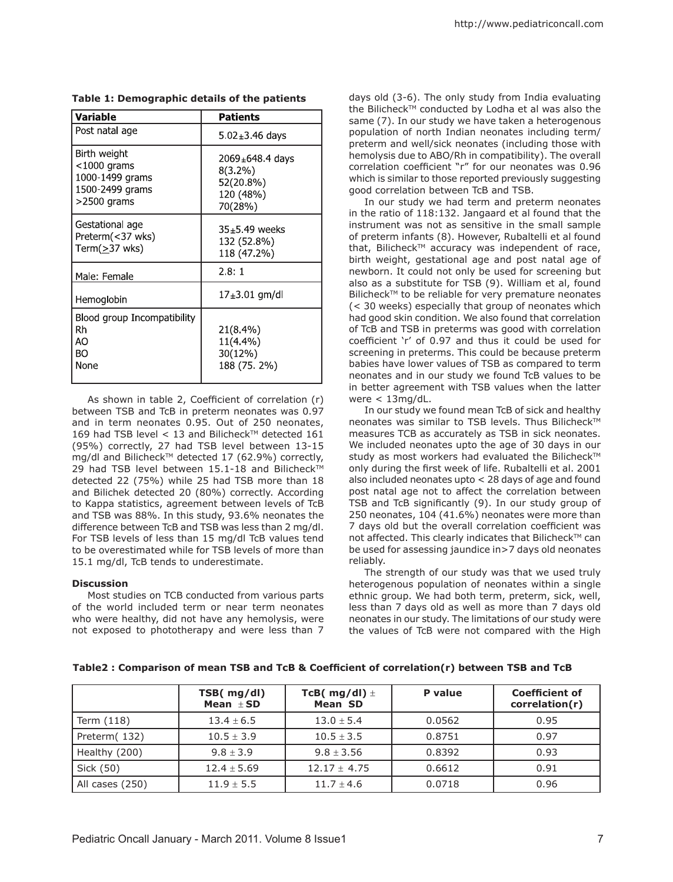| <b>Variable</b>                                                                        | Patients                                                                   |
|----------------------------------------------------------------------------------------|----------------------------------------------------------------------------|
| Post natal age                                                                         | 5.02 $\pm$ 3.46 days                                                       |
| Birth weight<br>$<$ 1000 grams<br>1000-1499 grams<br>1500-2499 grams<br>$>$ 2500 grams | $2069_{\pm}$ 648.4 days<br>$8(3.2\%)$<br>52(20.8%)<br>120 (48%)<br>70(28%) |
| Gestational age<br>Preterm(<37 wks)<br>Term $(\geq)37$ wks)                            | $35+5$ 49 weeks<br>132 (52.8%)<br>118 (47.2%)                              |
| Male: Female                                                                           | 28:1                                                                       |
| Hemoglobin                                                                             | 17±3.01 gm/dl                                                              |
| Blood group Incompatibility<br>Rh<br>AO<br>BO<br>None                                  | 21(8.4%)<br>11(4.4%)<br>30(12%)<br>188 (75.2%)                             |

**Table 1: Demographic details of the patients**

As shown in table 2, Coefficient of correlation (r) between TSB and TcB in preterm neonates was 0.97 and in term neonates 0.95. Out of 250 neonates, 169 had TSB level < 13 and Bilicheck™ detected  $161$ (95%) correctly, 27 had TSB level between 13-15 mg/dl and Bilicheck™ detected 17 (62.9%) correctly, 29 had TSB level between  $15.1 - 18$  and Bilicheck<sup>TM</sup> detected 22 (75%) while 25 had TSB more than 18 and Bilichek detected 20 (80%) correctly. According to Kappa statistics, agreement between levels of TcB and TSB was 88%. In this study, 93.6% neonates the difference between TcB and TSB was less than 2 mg/dl. For TSB levels of less than 15 mg/dl TcB values tend to be overestimated while for TSB levels of more than 15.1 mg/dl, TcB tends to underestimate.

# **Discussion**

Most studies on TCB conducted from various parts of the world included term or near term neonates who were healthy, did not have any hemolysis, were not exposed to phototherapy and were less than 7

days old (3-6). The only study from India evaluating the Bilicheck™ conducted by Lodha et al was also the same (7). In our study we have taken a heterogenous population of north Indian neonates including term/ preterm and well/sick neonates (including those with hemolysis due to ABO/Rh in compatibility). The overall correlation coefficient "r" for our neonates was 0.96 which is similar to those reported previously suggesting good correlation between TcB and TSB.

In our study we had term and preterm neonates in the ratio of 118:132. Jangaard et al found that the instrument was not as sensitive in the small sample of preterm infants (8). However, Rubaltelli et al found that, Bilicheck™ accuracy was independent of race, birth weight, gestational age and post natal age of newborn. It could not only be used for screening but also as a substitute for TSB (9). William et al, found Bilicheck™ to be reliable for very premature neonates (< 30 weeks) especially that group of neonates which had good skin condition. We also found that correlation of TcB and TSB in preterms was good with correlation coefficient 'r' of 0.97 and thus it could be used for screening in preterms. This could be because preterm babies have lower values of TSB as compared to term neonates and in our study we found TcB values to be in better agreement with TSB values when the latter were  $<$  13mg/dL.

In our study we found mean TcB of sick and healthy neonates was similar to TSB levels. Thus Bilicheck<sup>TM</sup> measures TCB as accurately as TSB in sick neonates. We included neonates upto the age of 30 days in our study as most workers had evaluated the Bilicheck™ only during the first week of life. Rubaltelli et al. 2001 also included neonates upto < 28 days of age and found post natal age not to affect the correlation between TSB and TcB significantly (9). In our study group of 250 neonates, 104 (41.6%) neonates were more than 7 days old but the overall correlation coefficient was not affected. This clearly indicates that Bilicheck™ can be used for assessing jaundice in>7 days old neonates reliably.

The strength of our study was that we used truly heterogenous population of neonates within a single ethnic group. We had both term, preterm, sick, well, less than 7 days old as well as more than 7 days old neonates in our study. The limitations of our study were the values of TcB were not compared with the High

|                 | TSB( mg/dl)<br>Mean $\pm$ SD | TcB( mg/dl) $\pm$<br><b>Mean SD</b> | P value | <b>Coefficient of</b><br>correlation(r) |
|-----------------|------------------------------|-------------------------------------|---------|-----------------------------------------|
| Term (118)      | $13.4 \pm 6.5$               | $13.0 \pm 5.4$                      | 0.0562  | 0.95                                    |
| Preterm (132)   | $10.5 \pm 3.9$               | $10.5 \pm 3.5$                      | 0.8751  | 0.97                                    |
| Healthy (200)   | $9.8 \pm 3.9$                | $9.8 \pm 3.56$                      | 0.8392  | 0.93                                    |
| Sick (50)       | $12.4 \pm 5.69$              | $12.17 + 4.75$                      | 0.6612  | 0.91                                    |
| All cases (250) | $11.9 \pm 5.5$               | $11.7 \pm 4.6$                      | 0.0718  | 0.96                                    |

**Table2 : Comparison of mean TSB and TcB & Coefficient of correlation(r) between TSB and TcB**